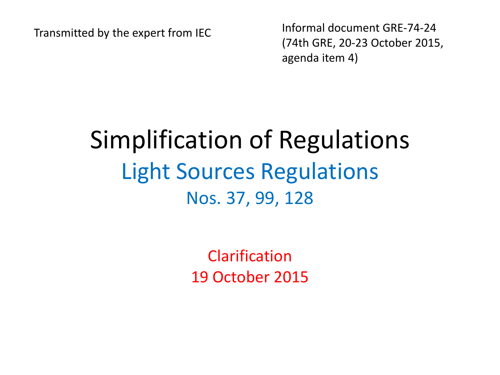Transmitted by the expert from IEC Informal document GRE-74-24 (74th GRE, 20-23 October 2015, agenda item 4)

## Simplification of Regulations Light Sources Regulations Nos. 37, 99, 128

Clarification 19 October 2015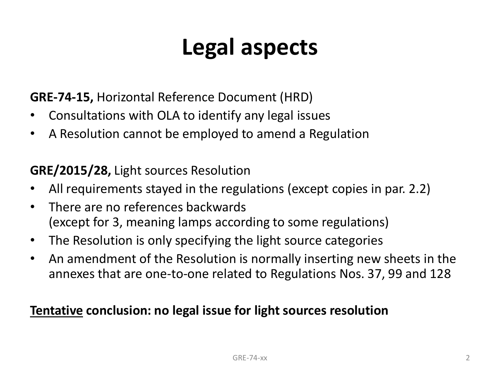## **Legal aspects**

**GRE-74-15,** Horizontal Reference Document (HRD)

- Consultations with OLA to identify any legal issues
- A Resolution cannot be employed to amend a Regulation

**GRE/2015/28,** Light sources Resolution

- All requirements stayed in the regulations (except copies in par. 2.2)
- There are no references backwards (except for 3, meaning lamps according to some regulations)
- The Resolution is only specifying the light source categories
- An amendment of the Resolution is normally inserting new sheets in the annexes that are one-to-one related to Regulations Nos. 37, 99 and 128

## **Tentative conclusion: no legal issue for light sources resolution**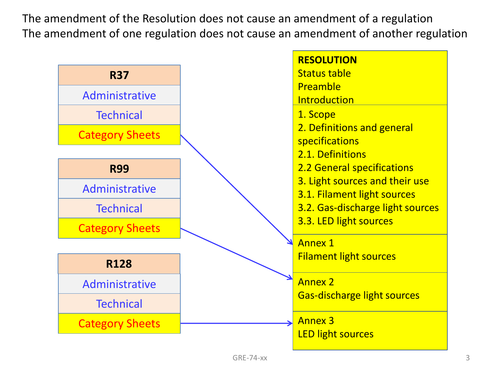The amendment of the Resolution does not cause an amendment of a regulation The amendment of one regulation does not cause an amendment of another regulation